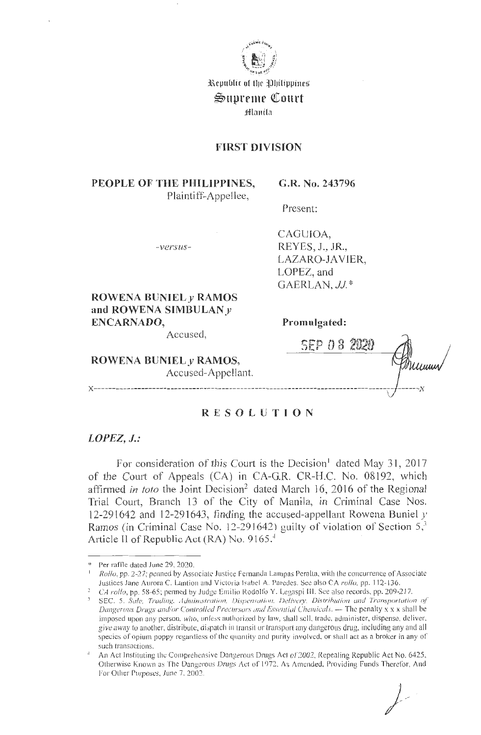

Republic of the Philippines

## Supreme Court

Hlanila

## **FIRST DIVISION**

## PEOPLE OF THE PHILIPPINES, Plaintiff-Appellee,

G.R. No. 243796

Present:

 $-versus-$ 

CAGUIOA. REYES, J., JR., LAZARO-JAVIER, LOPEZ, and GAERLAN, JJ.\*

ROWENA BUNIEL  $\nu$  RAMOS and ROWENA SIMBULAN y ENCARNADO,

Accused,

Promulgated:

ROWENA BUNIEL y RAMOS, Accused-Appellant.

| SEP 08 2 |  |      |  |
|----------|--|------|--|
|          |  | Uuun |  |
|          |  |      |  |

# **RESOLUTION**

### $LOPEZ, J.:$

For consideration of this Court is the Decision<sup>1</sup> dated May 31, 2017 of the Court of Appeals (CA) in CA-G.R. CR-H.C. No. 08192, which affirmed in toto the Joint Decision<sup>2</sup> dated March 16, 2016 of the Regional Trial Court, Branch 13 of the City of Manila, in Criminal Case Nos. 12-291642 and 12-291643, finding the accused-appellant Rowena Buniel  $y$ Ramos (in Criminal Case No. 12-291642) guilty of violation of Section  $5<sup>3</sup>$ Article II of Republic Act (RA) No. 9165.4

Per raffle dated June 29, 2020.

Rollo, pp. 2-27; penned by Associate Justice Fernanda Lampas Peralta, with the concurrence of Associate Justices Jane Aurora C. Lantion and Victoria Isabel A. Paredes. See also CA rollo, pp. 112-136.

<sup>&</sup>lt;sup>2</sup> CA rollo, pp. 58-65; penned by Judge Emilio Rodolfo Y. Legaspi III. See also records, pp. 209-217.

<sup>&</sup>lt;sup>3</sup> SEC. 5. Sale, Trading, Administration, Dispensation, Delivery, Distribution and Transportation of Dangerous Drugs and/or Controlled Precursors and Essential Chemicals. - The penalty x x x shall be imposed upon any person, who, unless authorized by law, shall sell, trade, administer, dispense, deliver, give away to another, distribute, dispatch in transit or transport any dangerous drug, including any and all species of opium poppy regardless of the quantity and purity involved, or shall act as a broker in any of such transactions.

An Act Instituting the Comprehensive Dangerous Drugs Act of 2002, Repealing Republic Act No. 6425, Otherwise Known as The Dangerous Drugs Act of 1972, As Amended, Providing Funds Therefor, And For Other Purposes, June 7, 2002.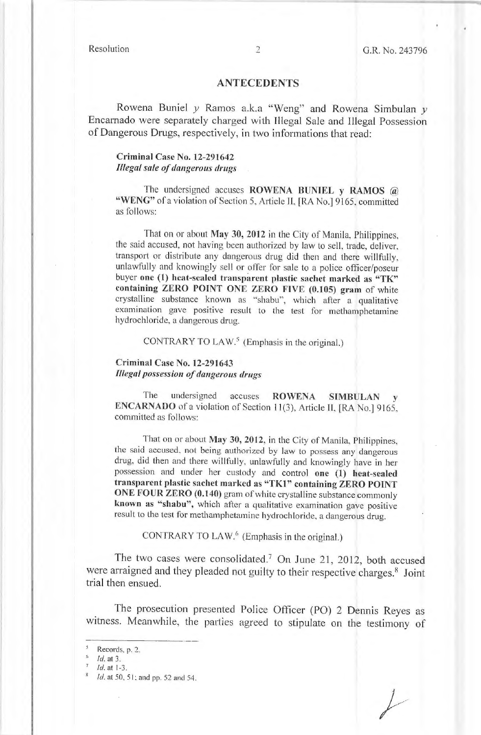#### **ANTECEDENTS**

Rowena Buniel *y* Ramos a.k.a "Weng" and Rowena Simbulan *y* Encarnado were separately charged with [llegal Sale and Illegal Possession of Dangerous Drugs, respectively, in two informations that read:

#### **Criminal Case No. 12-291642**  *Illegal sale of dangerous drugs*

The undersigned accuses **ROWENA BUNIEL y RAMOS** @ "WENG" of a violation of Section 5, Article II, [RA No.] 9165, committed as follows:

That on or about **May 30, 2012** in the City of Manila, Philippines, the said accused, not having been authorized by law to sell, trade, deliver, transport or distribute any dangerous drug did then and there willfully, unlawfully and knowingly sell or offer for sale to a police officer/poseur buyer one (1) heat-sealed transparent plastic sachet marked as "TK" **containing ZERO POINT ONE ZERO FIVE (0.105) gram** of white crystalline substance known as "shabu", which after a qualitative examination gave positive result to the test for methamphetamine hydrochloride, a dangerous drug.

CONTRARY TO LAW.<sup>5</sup> (Emphasis in the original.)

### **Criminal Case No. 12-291643**  *Illegal possession of dangerous drugs*

The undersigned accuses **ROWENA SIMBULAN ENCARNADO** of a violation of Section 11(3), Article II, [RA No.] 9165, committed as follows:

That on or about **May 30, 2012,** in the City of Manila, Philippines, the said accused, not being authorized by law to possess any dangerous drug, did then and there willfully. unlawfully and knowingly have in her possession and under her custody and control **one (1) heat-sealed**  transparent plastic sachet marked as "TK1" containing ZERO POINT **ONE FOUR ZERO (0.140)** gram of white crystalline substance commonly **known as "shabu",** which after a qualitative examination gave positive result to the test for methamphetamine hydrochloride, a dangerous drug.

CONTRARY TO LAW.<sup>6</sup> (Emphasis in the original.)

The two cases were consolidated.<sup>7</sup> On June 21, 2012, both accused were arraigned and they pleaded not guilty to their respective charges.<sup>8</sup> Joint trial then ensued.

The prosecution presented Police Officer (PO) 2 Dennis Reyes as witness. Meanwhile, the parties agreed to stipulate on the testimony of

*f* 

Records, p. 2.

*Id.* at 3.<br>*Id.* at 1-3.

Id. at 50, 51; and pp. 52 and 54.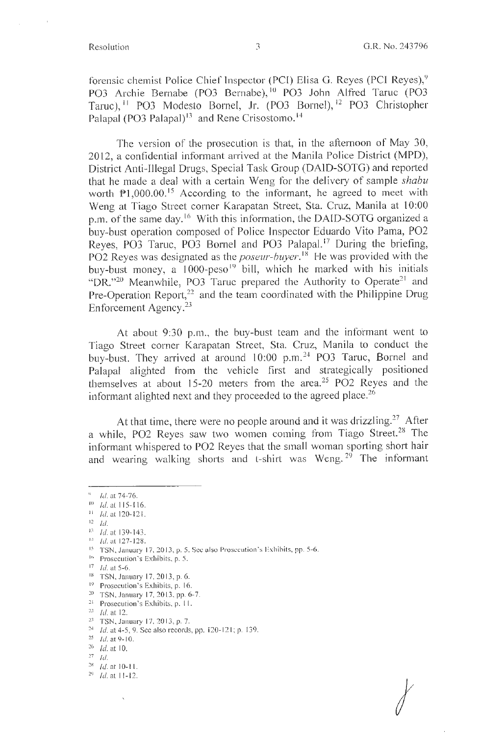*I* 

forensic chemist Police Chief Inspector (PCI) Elisa G. Reyes (PCI Reyes),<sup>9</sup> PO3 Archie Bernabe (PO3 Bernabe), <sup>10</sup> PO3 John Alfred Taruc (PO3 Taruc), <sup>11</sup> PO3 Modesto Bornel, Jr. (PO3 Bornel), <sup>12</sup> PO3 Christopher Palapal (PO3 Palapal)<sup>13</sup> and Rene Crisostomo.<sup>14</sup>

The version of the prosecution is that, in the afternoon of May 30, 2012, a confidential informant arrived at the Manila Police District **(MPD),**  District Anti-Illegal Drugs, Special Task Group (DAID-SOTG) and reported that he made a deal with a certain Weng for the delivery of sample *shabu*  worth P1,000.00.<sup>15</sup> According to the informant, he agreed to meet with Weng at Tiago Street corner Karapatan Street, Sta. Cruz, Manila at 10:00 p.m. of the same day.<sup>16</sup> With this information, the DAID-SOTG organized a buy-bust operation composed of Police 1nspector Eduardo Vito Pama, PO2 Reyes, PO3 Taruc, PO3 Bornel and PO3 Palapal.<sup>17</sup> During the briefing, PO2 Reyes was designated as the *poseur-buyer*.<sup>18</sup> He was provided with the buy-bust money, a  $1000$ -peso<sup>19</sup> bill, which he marked with his initials "DR."<sup>20</sup> Meanwhile, PO3 Taruc prepared the Authority to Operate<sup>21</sup> and Pre-Operation Report,<sup>22</sup> and the team coordinated with the Philippine Drug Enforcement Agency.<sup>23</sup>

At about 9:30 p.m., the buy-bust team and the informant went to Tiago Street corner Karapatan Street, Sta. Cruz, Manila to conduct the buy-bust. They arrived at around 10:00 p.m.<sup>24</sup> PO3 Taruc, Bornel and Palapal alighted from the vehicle first and strategically positioned themselves at about 15-20 meters from the area.25 PO2 Reyes and the informant alighted next and they proceeded to the agreed place.<sup>26</sup>

At that time, there were no people around and it was drizzling.<sup>27</sup> After a while, PO2 Reyes saw two women coming from Tiago Street.<sup>28</sup> The informant whispered to PO2 Reyes that the small woman sporting short hair and wearing walking shorts and t-shirt was Weng.<sup>29</sup> The informant

 $12$  Id.

- <sup>19</sup> Prosecution's Exhibits, p. 16.
- 20 TSN, January 17, 20 13, pp. 6-7.
- <sup>21</sup> Prosecution's Exhibits, p. 11.<br><sup>22</sup> Id. at 12.<br><sup>23</sup> TSN, January 17, 2013, p. 7.
- 

 $^4$  Id. at 74-76.

<sup>10</sup> Id. al 115-1 16.

 $11$  *Id.* at 120-121.

 $13$  Id. at 139-143. <sup>4</sup> *Id.* at 127-128.

<sup>&</sup>lt;sup>15</sup> TSN, January 17, 2013, p. 5. See also Prosecution's Exhibits, pp. 5-6.

<sup>&</sup>lt;sup>16</sup> Prosecution's Exhibits, p. 5. <sup>17</sup> *Id.* at 5-6.

<sup>&</sup>lt;sup>18</sup> TSN, January 17, 2013, p. 6.

<sup>&</sup>lt;sup>24</sup> *Id.* at 4-5, 9. See also records, pp. 120-121; p. 139.  $\frac{25}{Id}$  *Id.* at 9-10.

 $26$  Id. at 10.

 $^{27}$ *Id.* 

 $\begin{array}{cc} 28 & Id. \text{ at } 10\text{-}11. \\ 29 & Id. \text{ at } 11\text{-}12. \end{array}$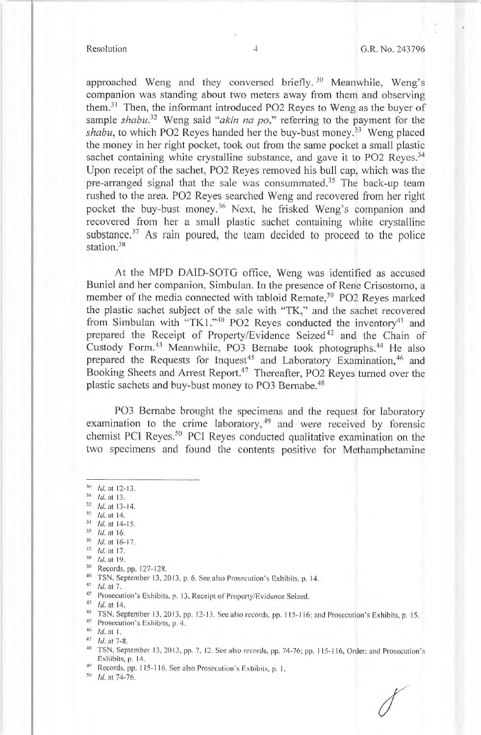approached Weng and they conversed briefly. 30 Meanwhile, Weng's companion was standing about two meters away from them and observing them.<sup>31</sup> Then, the informant introduced PO2 Reyes to Weng as the buyer of sample *shabu*<sup>32</sup> Weng said "*akin na po*," referring to the payment for the shabu, to which PO2 Reyes handed her the buy-bust money.<sup>33</sup> Weng placed the money in her right pocket, took out from the same pocket a small plastic sachet containing white crystalline substance, and gave it to PO2 Reyes.<sup>34</sup> Upon receipt of the sachet, P02 Reyes removed his bull cap, which was the pre-arranged signal that the sale was consummated.35 The back-up team rushed to the area. P02 Reyes searched Weng and recovered from her right pocket the buy-bust money. 36 Next, he frisked Weng's companion and recovered from her a small plastic sachet containing white crystalline substance.<sup>37</sup> As rain poured, the team decided to proceed to the police station.<sup>38</sup>

At the MPD DAID-SOTG office, Weng was identified as accused Buniel and her companion, Simbulan. In the presence of Rene Crisostomo, a member of the media connected with tabloid Remate,<sup>39</sup> PO2 Reyes marked the plastic sachet subject of the sale with "TK;' and the sachet recovered from Simbulan with "TK1."<sup>40</sup> PO2 Reyes conducted the inventory<sup>41</sup> and prepared the Receipt of Property/Evidence Seized<sup>42</sup> and the Chain of Custody Form.<sup>43</sup> Meanwhile, PO3 Bernabe took photographs.<sup>44</sup> He also prepared the Requests for Inquest<sup>45</sup> and Laboratory Examination,<sup>46</sup> and Booking Sheets and Arrest Report.<sup>47</sup> Thereafter, PO2 Reyes turned over the plastic sachets and buy-bust money to PO3 Bernabe.<sup>48</sup>

P03 Bernabe brought the specimens and the request for laboratory examination to the crime laboratory,<sup>49</sup> and were received by forensic chemist PCl Reyes. 50 PCI Reyes conducted qualitative examination on the two specimens and found the contents positive for Metharnphetamine

 $30$  *Id.* at 12-13.

- 
- 
- <sup>33</sup> Id. at 14.<br><sup>34</sup> Id. at 14-15.<br><sup>35</sup> Id. at 16.<br><sup>36</sup> Id. at 16-17.
- $37$  *ld.* at 17.
- 
- $^{38}$  *Id.* at 19.<br><sup>39</sup> Records, pp. 127-128.
- <sup>40</sup> TSN, September 13, 2013, p. 6. See also Prosecution *s* Exhibits. p. 14. *Id.* at 7.
- 
- <sup>42</sup> Prosecution's Exhibits, p. 13, Receipt of Property/Evidence Seized.

43 *Id.* at 14.

- <sup>44</sup> TSN, September 13, 2013, pp. 12-13. See also records, pp. 115-116; and Prosecution's Exhibits, p. 15.<br><sup>45</sup> Prosecution's Exhibits, p. 4.
- 

- <sup>49</sup> Records, pp. 115-116. See also Prosecution's Exhibits, p. 1.  $Id$ . at 74-76.
- 

 $31$  *Id.* at 13.<br> $32$  *Id.* at 13-14.

<sup>46</sup> *Id.* at 1.<br><sup>47</sup> *Id.* at 7-8.<br><sup>48</sup> TSN, September 13, 2013, pp. 7, 12. See also records, pp. 74-76; pp. 115-116, Order; and Prosecution's Exhibits, p. 14.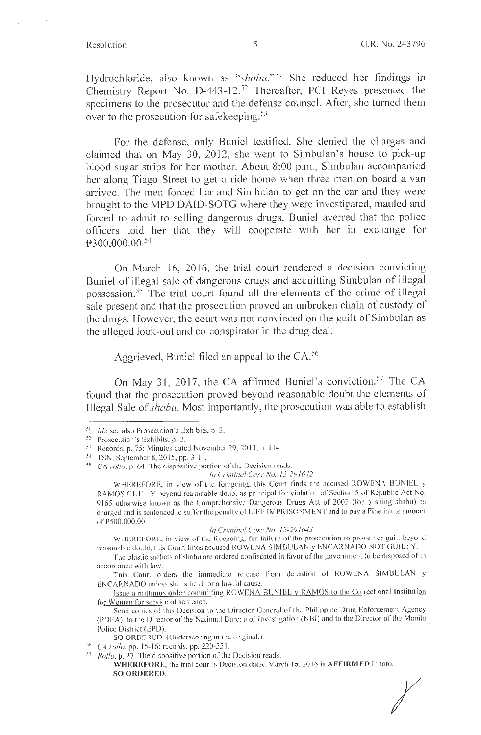Hydrochloride, also known as "shabu."<sup>51</sup> She reduced her findings in Chemistry Report No.  $D$ -443-12.<sup>52</sup> Thereafter, PCI Reyes presented the specimens to the prosecutor and the defense counsel. After, she turned them over to the prosecution for safekeeping.<sup>53</sup>

For the defense, only Buniel testified. She denied the charges and claimed that on May 30, 2012, she went to Simbulan's house to pick-up blood sugar strips for her mother. About 8:00 p.m., Sirnbulan accompanied her along Tiago Street to get a ride home when three men on board a van arrived. The men forced her and Simbulan to get on the car and they were brought to the MPD DAlD-SOTG where they were investigated, mauled and forced to admit to selling dangerous drugs. Buniel averred that the police officers told her that they will cooperate with her in exchange for PJ00,000.00. 54

On March 16, 2016, the trial court rendered a decision convicting Buniel of illegal sale of dangerous drugs and acquitting Simbulan of illegal possession.<sup>55</sup> The trial court found all the elements of the crime of illegal sale present and that the prosecution proved an unbroken chain of custody of the drugs. However, the court was not convinced on the guilt of Simbulan as the a11eged look-out and co-conspirator in the drug deal.

Aggrieved, Buniel filed an appeal to the CA.<sup>56</sup>

On May 31, 2017, the CA affirmed Buniel's conviction.<sup>57</sup> The CA found that the prosecution proved beyond reasonable doubt the elements of Illegal Sale of *shabu.* Most importantly, the prosecution was able to establish

*In Criminal Case No. 12-291642* 

WHEREFORE, in view of the foregoing, this Court finds the accused ROWENA BUNIEL y RAMOS GUILTY beyond reasonable doubt as principal for violation of Section 5 of Republic Act No. 9165 otherwise known as the Comprehensive Dangerous Drugs Act of 2002 (for pushing shabu) as charged and is sentenced to suffer the penalty of LIFE IMPRISONMENT and to pay a Fine in the amount of P500,000.00.

/11 *Cri111i11al Case No. 11-1916-13* 

WHEREFORE, in view of the foregoing, for failure of the prosecution to prove her guilt beyond reasonable doubt, this Court finds accused ROWENA SIMBULAN y ENCARNADO NOT GUILTY.

The plastic sachets of shabu are ordered confiscated in favor of the government to be disposed of in accordance with law.

This Court orders the immediate release from detention of ROWENA SIMBULAN y ENCARNADO unless she is held for a lawl'ul cause.

Issue a mittimus order committing ROWENA BUNIEL y RAMOS to the Correctional Institution for Women for service of sentence.

Send copies of this Decision to the Director General of the Philippine Drug Enforcement Agency (PDEA), to the Director of the National Bureau of Investigation (NBI) and to the Director of the Manila Police District (EPD).

SO ORDERED. (Underscoring in the original.)

**WHEREFORE, the trial court's Decision dated March 16, 2016 is AFFIRMED in toto. SO ORDERED.** 

*I* 

<sup>&</sup>lt;sup>51</sup> Id.; see also Prosecution's Exhibits, p. 2.  $52$  Prosecution's Exhibits, p. 2.

<sup>5</sup>> Records, p. 75; M inutcs elated November 29, 2013, p. I 14.

<sup>54</sup> TSN, September 8, 2015, pp. 3-1 I. 55 CA *rollo,* p. 64. The dispositive portion or the Decision reads:

<sup>56</sup>*CA rollo,* pp. 15-16; records, pp. 220-221 . 57 *Rollo,* p. 27. The dispositive portion of the Decision reads: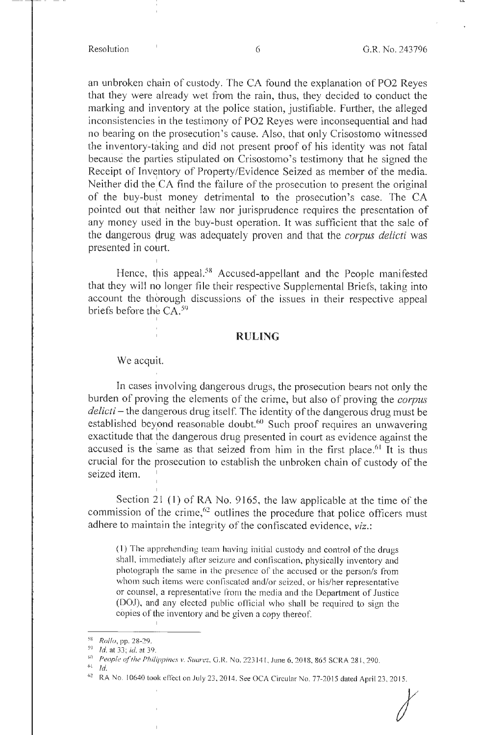an unbroken chain of custody. The CA found the explanation of PO2 Reyes that they were already wet from the rain, thus, they decided to conduct the marking and inventory at the police station, justifiable. Further, the alleged inconsistencies in the testimony of PO2 Reyes were inconsequential and had no bearing on the prosecution's cause. Also, that only Crisostomo witnessed the inventory-taking and did not present proof of his identity was not fatal because the parties stipulated on Crisostomo's testimony that he signed the Receipt of Inventory of Property/Evidence Seized as member of the media. Neither did the CA find the failure of the prosecution to present the original of the buy-bust money detrimental to the prosecution's case. The CA pointed out that neither law nor jurisprudence requires the presentation of any money used in the buy-bust operation. It was sufficient that the sale of the dangerous drug was adequately proven and that the *corpus delicti* was presented in court.

Hence, this appeal.<sup>58</sup> Accused-appellant and the People manifested that they will no longer file their respective Supplemental Briefs, taking into account the thorough discussions of the issues in their respective appeal briefs before the  $CA.^{59}$ I

### **RULING**

We acquit.

I

I

I

In cases jnvolving dangerous drugs, the prosecution bears not only the burden of proving the elements of the crime, but also of proving the *corpus delicti* - the dangerous drug itself. The identity of the dangerous drug must be established beyond reasonable doubt.<sup>60</sup> Such proof requires an unwavering exactitude that the dangerous drug presented in court as evidence against the accused is the same as that seized from him in the first place.<sup>61</sup> It is thus crucial for the prosecution to establish the unbroken chain of custody of the seized item. I

Section 21 (1) of RA No. 9165, the law applicable at the time of the commission of the crime,<sup>62</sup> outlines the procedure that police officers must adhere to maintain the integrity of the confiscated evidence, *viz.:* 

(1) The apprehending team having initial custody and control of the drugs shall, immediately after seizure and confiscation, physically inventory and photograpln the same in the presence of the accused or the person/s from whom such items were confiscated and/or seized. or his/her representative or counsel, a representative from the media and the Depatiment of Justice (DOJ), and any elected public official who shall be required to sign the copies of the inventory and be given a copy thereof. I

<sup>i</sup>*I* 

<sup>58</sup>Ro!fu, pp. 28-29. 59 *ld.at33;id.at39.* 

<sup>&</sup>lt;sup>60</sup> People of the Philippines v. Suarez, G.R. No. 223141, June 6, 2018, 865 SCRA 281, 290.

 $\rm ^{61}$   $\,$   $\rm Id.$ 

<sup>&</sup>lt;sup>62</sup> RA No. 10640 took effect on July 23, 2014. See OCA Circular No. 77-2015 dated April 23, 2015.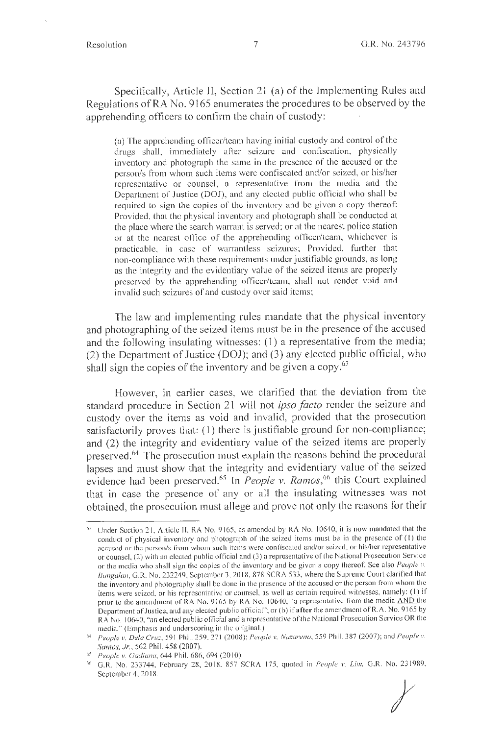Specifically, Article II, Section 21 (a) of the Implementing Rules and Regulations of RA No. 9165 enumerates the procedures to be observed by the apprehending officers to confirm the chain of custody:

(a) The apprehending officer/team having ini tial custody and control of the drugs shall, immediately after seizure and confiscation, physically inventory and photograph the same in the presence of the accused or the person/s from whom such items were confiscated and/or seized, or his/her representative or counsel, a representative from the media and the Department of Justice (DOJ), and any elected public official who shall be required to sign the copies of the inventory and be given a copy thereof: Provided, that the physical inventory and photograph shall be conducted at the place where the search warrant is served; or at the nearest police station or at the nearest office of the apprehending officer/team, whichever is practicable, in case of warrantless seizures; Provided, further that non-compliance with these requirements under justifiable grounds, as long as the integrity and the evidentiary value of the seized items are properly preserved by the apprehending officer/team, shall not render void and invalid such seizures of and custody over said items;

The law and implementing rules mandate that the physical inventory and photographing of the seized items must be in the presence of the accused and the following insulating witnesses: ( 1) a representative from the media; (2) the Department of Justice (DOJ); and (3) any elected public official, who shall sign the copies of the inventory and be given a copy. $63$ 

However, in earlier cases, we clarified that the deviation from the standard procedure in Section 21 will not *ipso facto* render the seizure and custody over the items as void and invalid, provided that the prosecution satisfactorily proves that: (1) there is justifiable ground for non-compliance; and (2) the integrity and evidentiary value of the seized items are properly preserved.<sup>64</sup> The prosecution must explain the reasons behind the procedural lapses and must show that the integrity and evidentiary value of the seized evidence had been preserved.<sup>65</sup> In *People v. Ramos*,<sup>66</sup>this Court explained that in case the presence of any or all the insulating witnesses was not obtained, the prosecution must allege and prove not only the reasons for their

*t* 

Under Section 21, Article II, RA No. 9165, as amended by RA No. 10640, it is now mandated that the conduct of physical inventory and photograph or the seized items must be in the presence of (I) the accused or the person/s from whom such items were confiscated and/or seized, or his/her representative or counsel, (2) with an elected public official and (3) a representative of the National Prosecution Service or the media who shall sign the copies of the inventory and be given a copy thereof See also *People* v. *Bangalan,* G.R. No. 232249, September 3, 20 18, 878 SCRA 533, where the Suprenie Court claritied that the inventory and photography shall be done in the presence of the accused or the person from whom the items were seized, or his representative or counsel, as well as certain required witnesses, namely: (I) if prior to the amendment of RA No. 9165 by RA No. 10640, "a representative from the media AND the Department of Justice, and any elected public official"; or (b) if after the amendment of R.A. No. 9165 by RA No. 10640, "an elected public official and a representative of the National Prosecution Service OR the

media." (Emphasis and underscoring in the original.)<br><sup>64</sup> *People v. Dela Cruz*, 591 Phil. 259, 271 (2008); *People v. Nazareno*, 559 Phil. 387 (2007); and *People v. Santos, Jr. ,* 562 Phil. 458 (2007).

<sup>&</sup>lt;sup>65</sup> People v. Gadiana, 644 Phil. 686, 694 (2010).

*<sup>(,(,</sup>* G.R. No. 233744, February 28, 20 18, 857 SCRA 175, quoted in *People v. Lim,* G.R. No. 23 1989, September 4, 20 18.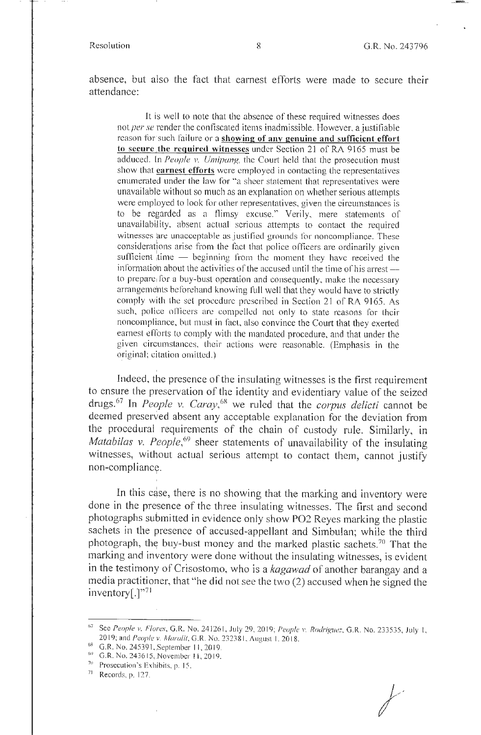absence, but also the fact that earnest efforts were made to secure their attendance:

It is well to note that the absence of these required witnesses does not *per se* render the confiscated items inadmissible. However, a justifiable reason for such failure or a **showing of any genuine and sufficient effort to secure the required witnesses** under Section 21 of RA 9165 must be adduced. In *People v. Umipang*, the Court held that the prosecution must show that **earnest efforts** were employed in contacting the representatives enumerated under the law for "a sheer statement that representatives were unavailable without so much as an explanation on whether serious attempts were employed to look for other representatives, given the circumstances is to be regarded as a flimsy excuse." Verily, mere statements of unavailability, absent actual serious attempts to contact the required witnesses are unacceptable as justified grounds for noncompliance. These consiclerntions arise from the fact that police officers are ordinarily given sufficient  $\textrm{time}$  - beginning from the moment they have received the information about the activities of the accused until the time of his arrest  $$ to prepare<sub>1</sub> for a buy-bust operation and consequently, make the necessary arrangements beforehand knowing full well that they would have to strictly comply with the set procedure prescribed in Section 21 of RA 9165. As such, police officers are compelled not only to state reasons for their noncompliance, but must in fact, also convince the Court that they exerted earnest efforts to comply with the mandated procedure, and that under the given circumstances, their actions were reasonable. (Emphasis in the original; citation omitted.)

Indeed, the presence of the insulating witnesses is the first requirement to ensure the preservation of the identity and evidentiary value of the seized drugs.<sup>67</sup>In *People v. Caray,<sup>68</sup>*we ruled that the *corpus delicti* cannot be deemed preserved absent any acceptable explanation for the deviation from the procedural requirements of the chain of custody rule. Similarly, in *Matabilas v. People*,<sup>69</sup> sheer statements of unavailability of the insulating witnesses, without actual serious attempt to contact them, cannot justify non-compliancy.

In this case, there is no showing that the marking and inventory were done in the presence of the three insulating witnesses. The first and second photographs submitted in evidence only show P02 Reyes marking the plastic sachets in the presence of accused-appellant and Simbulan; while the third photograph, the buy-bust money and the marked plastic sachets.<sup>70</sup> That the marking and inventory were done without the insulating witnesses, is evident in the testimony of Crisostomo, who is a *kagawad* of another barangay and a media practitioner, that "he did not see the two (2) accused when he signed the  $inventory[.]^{v71}$ 

I

 $71$  Records, p. 127.

*I* 

<sup>&</sup>lt;sup>67</sup> See *People v. Flores*, G.R. No. 241261, July 29, 2019; *People v. Rodriguez*, G.R. No. 233535, July I. 2019; and *People v. Maralit*, G.R. No. 232381, August 1, 2018.

<sup>68</sup> G.R. No. 245391, September 11, 2019.

 $^{\circ}$  G.R. No. 243615, November 11, 2019.

 $70$  Prosecution's Exhibits, p. 15.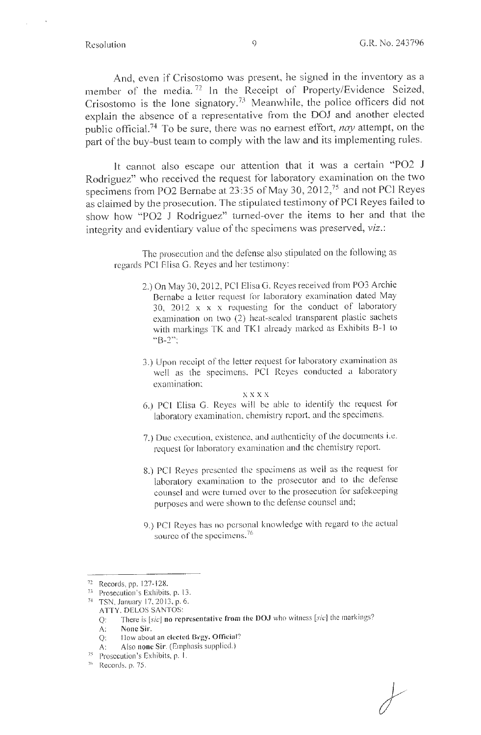And, even if Crisostomo was present, he signed in the inventory as a member of the media. 72 ln the Receipt of Property/Evidence Seized, Crisostomo is the lone signatory.<sup>73</sup> Meanwhile, the police officers did not explain the absence of a representative from the DOJ and another elected public official. 74 To be sure, there was no earnest effort, *nay* attempt, on the part of the buy-bust team to comply with the law and its implementing rules.

**lt** cannot also escape our attention that it was a certain "PO2 **J**  Rodriguez" who received the request for laboratory examination on the two specimens from PO2 Bernabe at 23:35 of May 30, 2012,75 and not PCI Reyes as claimed by the prosecution. The stipulated testimony of PC! Reyes failed to show how "PO2 J Rodriguez" turned-over the items to her and that the integrity and evidentiary value of the specimens was preserved, *viz.:* 

The prosecution and the defense also stipulated on the following as regards PCI Elisa G. Reyes and her testimony:

- 2.) On May 30, 2012, PCl Elisa G. Reyes received from PO3 Archie Bernabe a letter request for laboratory examination dated May 30, 2012  $x \times x$  requesting for the conduct of laboratory examination on two (2) heat-sealed transparent plastic sachets with markings TK and TK1 already marked as Exhibits B-1 to "B-2";
- 3.) Upon receipt of the letter request for laboratory examination as well as the specimens, PCI Reyes conducted a laboratory examination:

xxxx

- 6.) PCI Elisa G. Reyes will be able to identify the request for laboratory examination, chemistry report, and the specimens.
- 7.) Due execution, existence, and authenticity of the documents i.e. request for laboratory examination and the chemistry report.
- 8.) PCI Reyes presented the specimens as well as the request for laboratory examination to the prosecutor and to the defense counsel and were turned over to the prosecution for safekeeping purposes and were shown to the defense counsel and;
- 9.) PCI Reyes has no personal knowledge with regard to the actual source of the specimens. $76$

<sup>&</sup>lt;sup>72</sup> Records, pp. 127-128.<br><sup>73</sup> Prosecution's Exhibits, p. 13.<br><sup>74</sup> TSN, January 17, 2013, p. 6.

ATTY. DELOS SANTOS:

Q: There is [sic] **no representative from the OOJ** who witness [sic] the markings?

A: **None Sir.** 

Q: How about an **elected Brgy. Official?** 

A: Also **none Sir**. (Emphasis supplied.)

Prosecution's Exhibits, p. 1.

 $76$  Records, p. 75.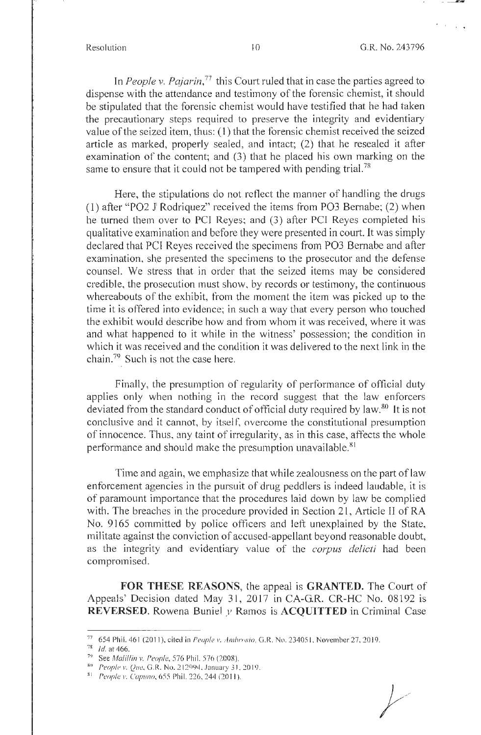In *People v. Pajarin*,<sup>77</sup> this Court ruled that in case the parties agreed to dispense with the attendance and testimony of the forensic chemist, it should be stipulated that the forensic chemist would have testified that he had taken the precautionary steps required to preserve the integrity and evidentiary value of the seized item, thus: (I) that the forensic chemist received the seized article as marked, properly sealed, and intact; (2) that he resealed it after examination of the content; and (3) that he placed his own marking on the same to ensure that it could not be tampered with pending trial.<sup>78</sup>

Here, the stipulations do not reflect the manner of handling the drugs (1) after "P02 J <sup>1</sup>Rodriquez" received the items from P03 Bernabe; (2) when he turned them over to PCI Reyes; and (3) after PCI Reyes completed his qualitative examination and before they were presented in court. It was simply declared that PCI Reyes received the specimens from P03 Bernabe and after examination, she presented the specimens to the prosecutor and the defense counsel. We stress that in order that the seized items may be considered credible, the prosecution must show, by records or testimony, the continuous whereabouts of the exhibit, from the moment the item was picked up to the time it is offered into evidence; in such a way that every person who touched the exhibit would describe how and from whom it was received, where it was and what happened to it while in the witness' possession; the condition in which it was received and the condition it was delivered to the next link in the chain.79 Such is not the case here.

Finally, the presumption of regularity of performance of official duty applies only when nothing in the record suggest that the law enforcers deviated from the standard conduct of official duty required by law.80 **ft** is not conclusive and it cannot, by itself, overcome the constitutional presumption of innocence. Thus, any taint of irregularity, as in this case, affects the whole performance and should make the presumption unavailable.<sup>81</sup>

Time and again, we emphasize that while zealousness on the part of law enforcement agencies in the pursuit of drug peddlers is indeed laudable, it is of paramount importance that the procedures laid down by law be complied with. The breaches in the procedure provided in Section 21, Article II of RA No. 9165 committed by police officers and left unexplained by the State, militate against the conviction of accused-appellant beyond reasonable doubt, as the integrity and evidentiary value of the *corpus delicti* had been compromised.

**FOR THESE REASONS,** the appeal is **GRANTED.** The Court of Appeals' Decision dated May 31, 2017 in CA-G.R. CR-HC No. 08192 is **REVERSED.** Rowena Buniel *y* Ramos is **ACQUITTED** in Criminal Case

<sup>77 654</sup> Phil. 461 (2011), cited in *People v. Ambrosio*, G.R. No. 234051, November 27, 2019. 78 *Id.* at 466.

*n* See Mali/fin *v. People,* 576 Phil. 576 (2008).

<sup>80</sup> People v. Que, G.R. No. 212994. January 31, 2019.

<sup>81</sup> People v. Capuno, 655 Phil. 226, 244 (2011).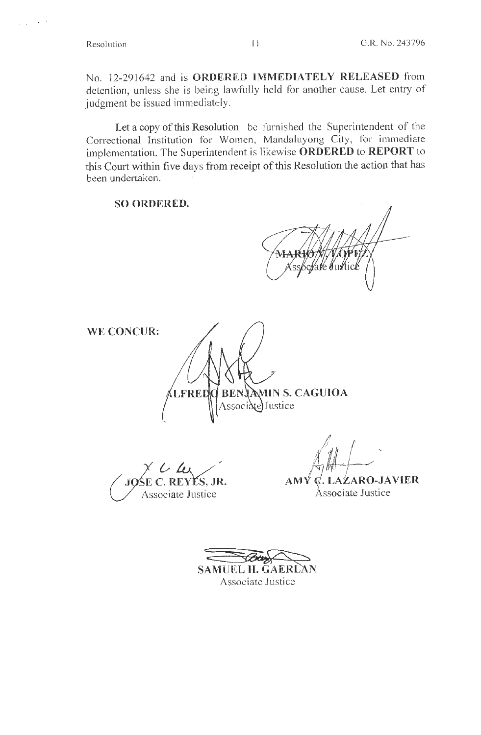Resolution

No. 12-291642 and is ORDERED IMMEDIATELY RELEASED from detention, unless she is being lawfully held for another cause. Let entry of judgment be issued immediately.

Let a copy of this Resolution be furnished the Superintendent of the Correctional Institution for Women, Mandaluyong City, for immediate implementation. The Superintendent is likewise ORDERED to REPORT to this Court within five days from receipt of this Resolution the action that has been undertaken.

**SO ORDERED.** 

**WE CONCUR:** 

**BENJAMIN S. CAGUIOA** LFRED Associate Justice

C. REYÉS, JR. Associate Justice

L LAZARO-JAVIER AMY Associate Justice

SAMUEL H. GAERLAN Associate Justice

 $11$